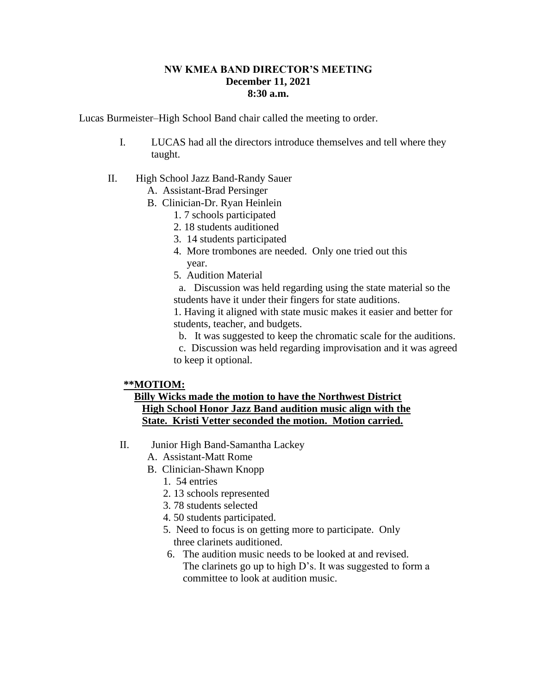## **NW KMEA BAND DIRECTOR'S MEETING December 11, 2021 8:30 a.m.**

Lucas Burmeister–High School Band chair called the meeting to order.

- I. LUCAS had all the directors introduce themselves and tell where they taught.
- II. High School Jazz Band-Randy Sauer
	- A. Assistant-Brad Persinger
	- B. Clinician-Dr. Ryan Heinlein
		- 1. 7 schools participated
		- 2. 18 students auditioned
		- 3. 14 students participated
		- 4. More trombones are needed. Only one tried out this year.
		- 5. Audition Material

 a. Discussion was held regarding using the state material so the students have it under their fingers for state auditions.

1. Having it aligned with state music makes it easier and better for students, teacher, and budgets.

b. It was suggested to keep the chromatic scale for the auditions.

 c. Discussion was held regarding improvisation and it was agreed to keep it optional.

## **\*\*MOTIOM:**

## **Billy Wicks made the motion to have the Northwest District High School Honor Jazz Band audition music align with the State. Kristi Vetter seconded the motion. Motion carried.**

- II. Junior High Band-Samantha Lackey
	- A. Assistant-Matt Rome
	- B. Clinician-Shawn Knopp
		- 1. 54 entries
		- 2. 13 schools represented
		- 3. 78 students selected
		- 4. 50 students participated.
		- 5. Need to focus is on getting more to participate. Only three clarinets auditioned.
		- 6. The audition music needs to be looked at and revised. The clarinets go up to high D's. It was suggested to form a committee to look at audition music.